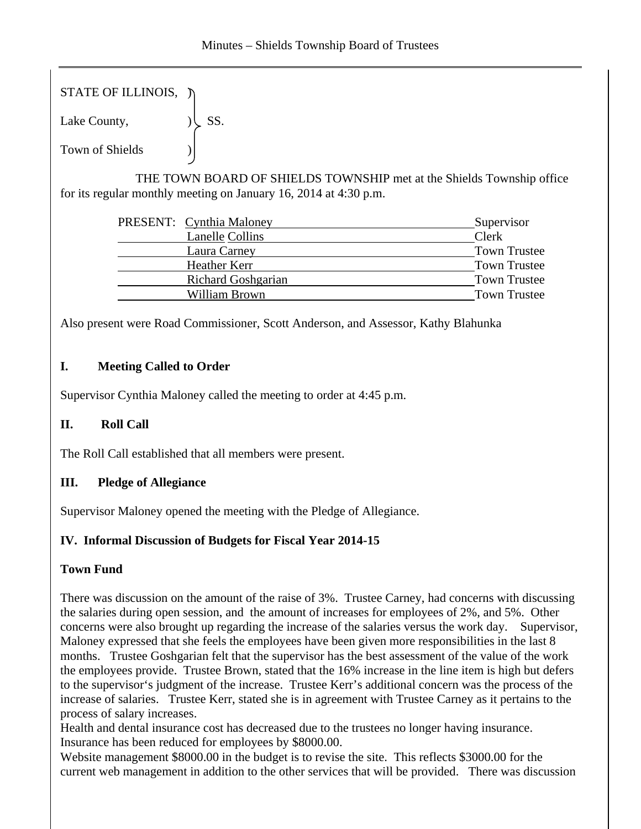STATE OF ILLINOIS,  $\tilde{y}$ 

Lake County,  $|\text{SS}|$ .

Town of Shields )

 THE TOWN BOARD OF SHIELDS TOWNSHIP met at the Shields Township office for its regular monthly meeting on January 16, 2014 at 4:30 p.m.

| PRESENT: Cynthia Maloney  | Supervisor          |
|---------------------------|---------------------|
| <b>Lanelle Collins</b>    | Clerk               |
| Laura Carney              | <b>Town Trustee</b> |
| Heather Kerr              | <b>Town Trustee</b> |
| <b>Richard Goshgarian</b> | <b>Town Trustee</b> |
| William Brown             | <b>Town Trustee</b> |
|                           |                     |

Also present were Road Commissioner, Scott Anderson, and Assessor, Kathy Blahunka

# **I. Meeting Called to Order**

Supervisor Cynthia Maloney called the meeting to order at 4:45 p.m.

# **II. Roll Call**

The Roll Call established that all members were present.

# **III. Pledge of Allegiance**

Supervisor Maloney opened the meeting with the Pledge of Allegiance.

# **IV. Informal Discussion of Budgets for Fiscal Year 2014-15**

# **Town Fund**

There was discussion on the amount of the raise of 3%. Trustee Carney, had concerns with discussing the salaries during open session, and the amount of increases for employees of 2%, and 5%. Other concerns were also brought up regarding the increase of the salaries versus the work day. Supervisor, Maloney expressed that she feels the employees have been given more responsibilities in the last 8 months. Trustee Goshgarian felt that the supervisor has the best assessment of the value of the work the employees provide. Trustee Brown, stated that the 16% increase in the line item is high but defers to the supervisor's judgment of the increase. Trustee Kerr's additional concern was the process of the increase of salaries. Trustee Kerr, stated she is in agreement with Trustee Carney as it pertains to the process of salary increases.

Health and dental insurance cost has decreased due to the trustees no longer having insurance. Insurance has been reduced for employees by \$8000.00.

Website management \$8000.00 in the budget is to revise the site. This reflects \$3000.00 for the current web management in addition to the other services that will be provided. There was discussion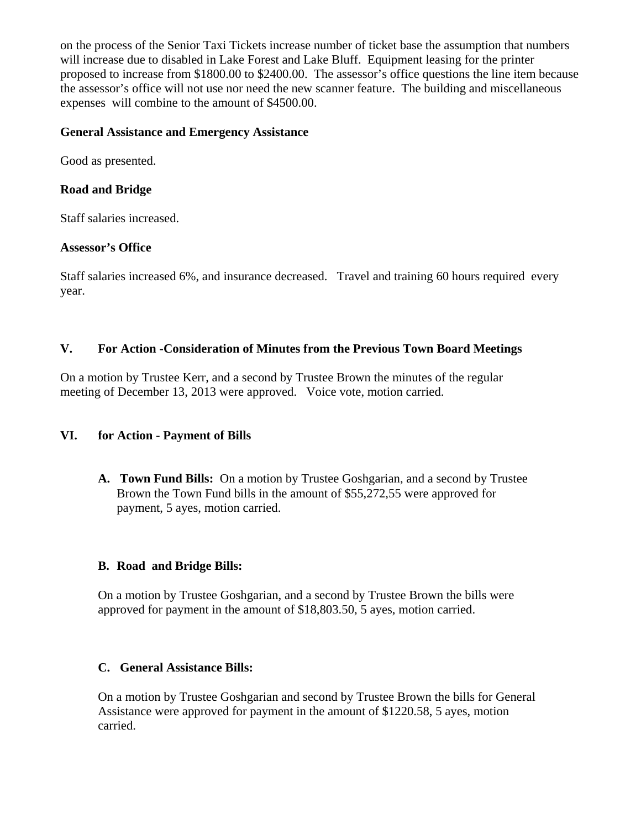on the process of the Senior Taxi Tickets increase number of ticket base the assumption that numbers will increase due to disabled in Lake Forest and Lake Bluff. Equipment leasing for the printer proposed to increase from \$1800.00 to \$2400.00. The assessor's office questions the line item because the assessor's office will not use nor need the new scanner feature. The building and miscellaneous expenses will combine to the amount of \$4500.00.

### **General Assistance and Emergency Assistance**

Good as presented.

## **Road and Bridge**

Staff salaries increased.

### **Assessor's Office**

Staff salaries increased 6%, and insurance decreased. Travel and training 60 hours required every year.

### **V. For Action -Consideration of Minutes from the Previous Town Board Meetings**

On a motion by Trustee Kerr, and a second by Trustee Brown the minutes of the regular meeting of December 13, 2013 were approved. Voice vote, motion carried.

# **VI. for Action - Payment of Bills**

**A. Town Fund Bills:** On a motion by Trustee Goshgarian, and a second by Trustee Brown the Town Fund bills in the amount of \$55,272,55 were approved for payment, 5 ayes, motion carried.

# **B. Road and Bridge Bills:**

On a motion by Trustee Goshgarian, and a second by Trustee Brown the bills were approved for payment in the amount of \$18,803.50, 5 ayes, motion carried.

# **C. General Assistance Bills:**

On a motion by Trustee Goshgarian and second by Trustee Brown the bills for General Assistance were approved for payment in the amount of \$1220.58, 5 ayes, motion carried.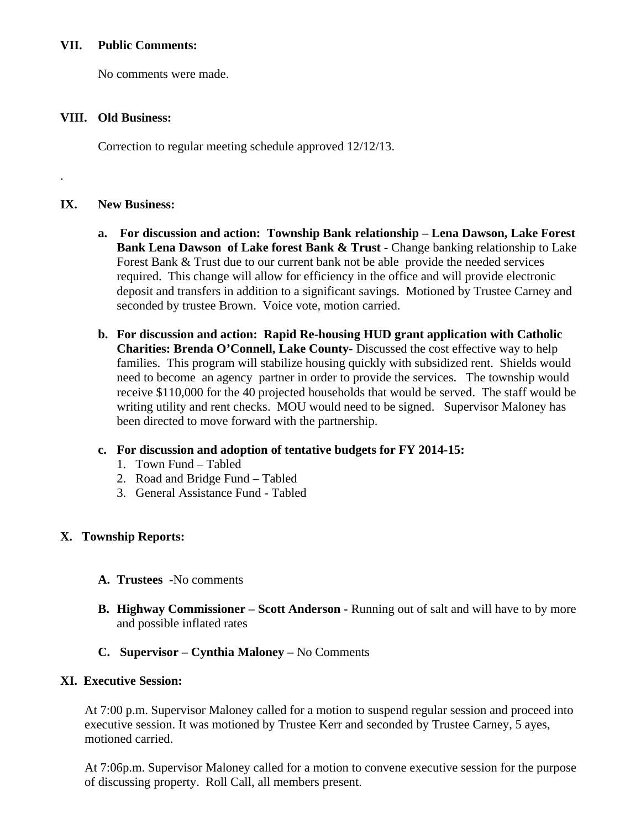### **VII. Public Comments:**

No comments were made.

### **VIII. Old Business:**

Correction to regular meeting schedule approved 12/12/13.

## **IX. New Business:**

.

- **a. For discussion and action: Township Bank relationship Lena Dawson, Lake Forest Bank Lena Dawson of Lake forest Bank & Trust** - Change banking relationship to Lake Forest Bank & Trust due to our current bank not be able provide the needed services required. This change will allow for efficiency in the office and will provide electronic deposit and transfers in addition to a significant savings. Motioned by Trustee Carney and seconded by trustee Brown. Voice vote, motion carried.
- **b. For discussion and action: Rapid Re-housing HUD grant application with Catholic Charities: Brenda O'Connell, Lake County-** Discussed the cost effective way to help families. This program will stabilize housing quickly with subsidized rent. Shields would need to become an agency partner in order to provide the services. The township would receive \$110,000 for the 40 projected households that would be served. The staff would be writing utility and rent checks. MOU would need to be signed. Supervisor Maloney has been directed to move forward with the partnership.

# **c. For discussion and adoption of tentative budgets for FY 2014-15:**

- 1. Town Fund Tabled
- 2. Road and Bridge Fund Tabled
- 3. General Assistance Fund Tabled

# **X. Township Reports:**

- **A. Trustees** -No comments
- **B. Highway Commissioner Scott Anderson -** Running out of salt and will have to by more and possible inflated rates
- **C. Supervisor Cynthia Maloney** No Comments

### **XI. Executive Session:**

At 7:00 p.m. Supervisor Maloney called for a motion to suspend regular session and proceed into executive session. It was motioned by Trustee Kerr and seconded by Trustee Carney, 5 ayes, motioned carried.

At 7:06p.m. Supervisor Maloney called for a motion to convene executive session for the purpose of discussing property. Roll Call, all members present.